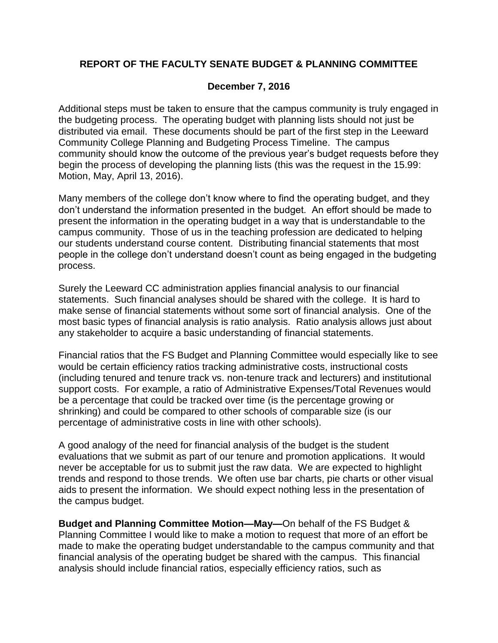## **REPORT OF THE FACULTY SENATE BUDGET & PLANNING COMMITTEE**

## **December 7, 2016**

Additional steps must be taken to ensure that the campus community is truly engaged in the budgeting process. The operating budget with planning lists should not just be distributed via email. These documents should be part of the first step in the Leeward Community College Planning and Budgeting Process Timeline. The campus community should know the outcome of the previous year's budget requests before they begin the process of developing the planning lists (this was the request in the 15.99: Motion, May, April 13, 2016).

Many members of the college don't know where to find the operating budget, and they don't understand the information presented in the budget. An effort should be made to present the information in the operating budget in a way that is understandable to the campus community. Those of us in the teaching profession are dedicated to helping our students understand course content. Distributing financial statements that most people in the college don't understand doesn't count as being engaged in the budgeting process.

Surely the Leeward CC administration applies financial analysis to our financial statements. Such financial analyses should be shared with the college. It is hard to make sense of financial statements without some sort of financial analysis. One of the most basic types of financial analysis is ratio analysis. Ratio analysis allows just about any stakeholder to acquire a basic understanding of financial statements.

Financial ratios that the FS Budget and Planning Committee would especially like to see would be certain efficiency ratios tracking administrative costs, instructional costs (including tenured and tenure track vs. non-tenure track and lecturers) and institutional support costs. For example, a ratio of Administrative Expenses/Total Revenues would be a percentage that could be tracked over time (is the percentage growing or shrinking) and could be compared to other schools of comparable size (is our percentage of administrative costs in line with other schools).

A good analogy of the need for financial analysis of the budget is the student evaluations that we submit as part of our tenure and promotion applications. It would never be acceptable for us to submit just the raw data. We are expected to highlight trends and respond to those trends. We often use bar charts, pie charts or other visual aids to present the information. We should expect nothing less in the presentation of the campus budget.

**Budget and Planning Committee Motion—May—**On behalf of the FS Budget & Planning Committee I would like to make a motion to request that more of an effort be made to make the operating budget understandable to the campus community and that financial analysis of the operating budget be shared with the campus. This financial analysis should include financial ratios, especially efficiency ratios, such as